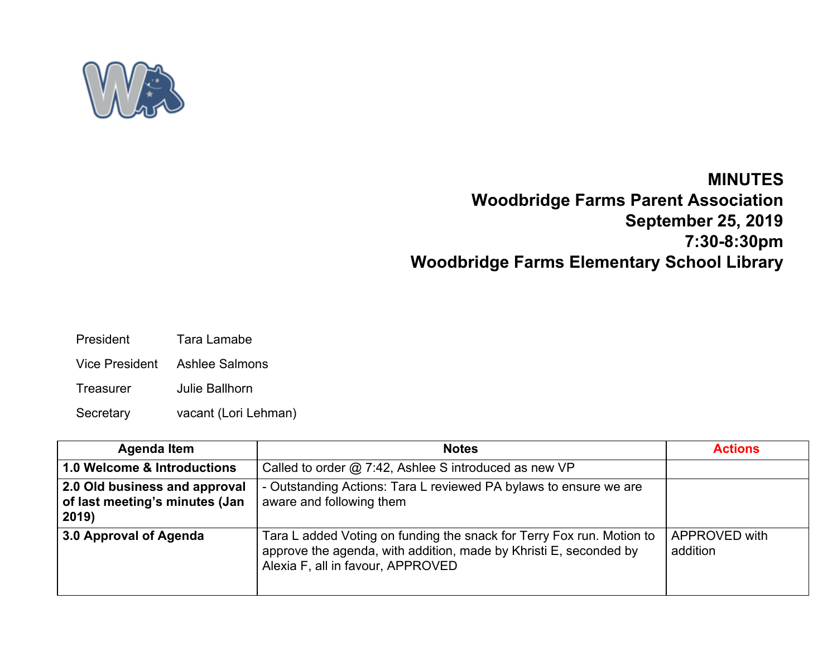

## **MINUTES**

## **Woodbridge Farms Parent Association September 25, 2019 7:30-8:30pm Woodbridge Farms Elementary School Library**

- President Tara Lamabe
- Vice President Ashlee Salmons
- Treasurer Julie Ballhorn
- Secretary vacant (Lori Lehman)

| <b>Agenda Item</b>                                                       | <b>Notes</b>                                                                                                                                                                    | <b>Actions</b>            |
|--------------------------------------------------------------------------|---------------------------------------------------------------------------------------------------------------------------------------------------------------------------------|---------------------------|
| 1.0 Welcome & Introductions                                              | Called to order @ 7:42, Ashlee S introduced as new VP                                                                                                                           |                           |
| 2.0 Old business and approval<br>of last meeting's minutes (Jan<br>2019) | - Outstanding Actions: Tara L reviewed PA bylaws to ensure we are<br>aware and following them                                                                                   |                           |
| 3.0 Approval of Agenda                                                   | Tara L added Voting on funding the snack for Terry Fox run. Motion to<br>approve the agenda, with addition, made by Khristi E, seconded by<br>Alexia F, all in favour, APPROVED | APPROVED with<br>addition |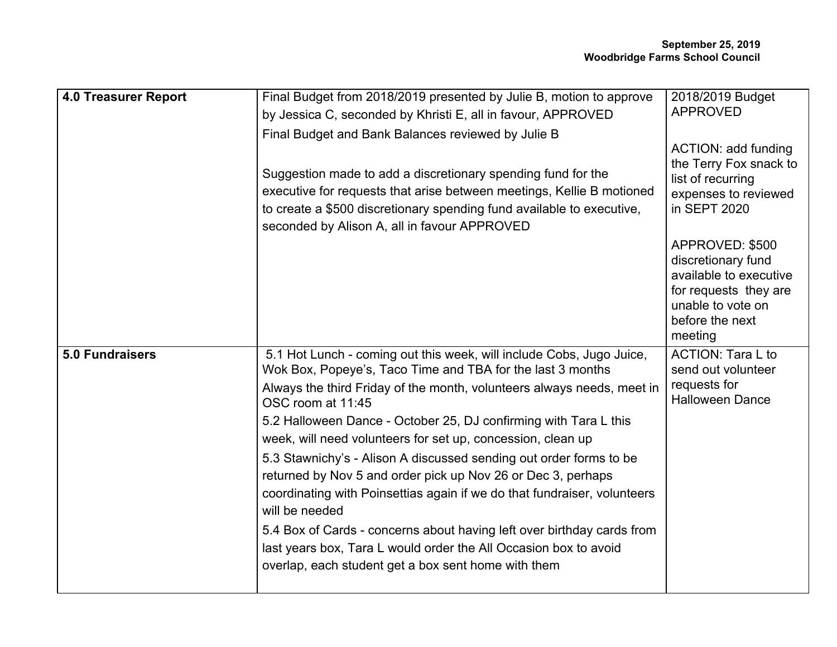| <b>4.0 Treasurer Report</b> | Final Budget from 2018/2019 presented by Julie B, motion to approve<br>by Jessica C, seconded by Khristi E, all in favour, APPROVED                                                                                                                            | 2018/2019 Budget<br><b>APPROVED</b>                                                                                                         |
|-----------------------------|----------------------------------------------------------------------------------------------------------------------------------------------------------------------------------------------------------------------------------------------------------------|---------------------------------------------------------------------------------------------------------------------------------------------|
|                             | Final Budget and Bank Balances reviewed by Julie B                                                                                                                                                                                                             |                                                                                                                                             |
|                             | Suggestion made to add a discretionary spending fund for the<br>executive for requests that arise between meetings, Kellie B motioned<br>to create a \$500 discretionary spending fund available to executive,<br>seconded by Alison A, all in favour APPROVED | ACTION: add funding<br>the Terry Fox snack to<br>list of recurring<br>expenses to reviewed<br>in SEPT 2020                                  |
|                             |                                                                                                                                                                                                                                                                | APPROVED: \$500<br>discretionary fund<br>available to executive<br>for requests they are<br>unable to vote on<br>before the next<br>meeting |
| <b>5.0 Fundraisers</b>      | 5.1 Hot Lunch - coming out this week, will include Cobs, Jugo Juice,<br>Wok Box, Popeye's, Taco Time and TBA for the last 3 months                                                                                                                             | <b>ACTION: Tara L to</b><br>send out volunteer                                                                                              |
|                             | Always the third Friday of the month, volunteers always needs, meet in<br>OSC room at 11:45                                                                                                                                                                    | requests for<br><b>Halloween Dance</b>                                                                                                      |
|                             | 5.2 Halloween Dance - October 25, DJ confirming with Tara L this                                                                                                                                                                                               |                                                                                                                                             |
|                             | week, will need volunteers for set up, concession, clean up                                                                                                                                                                                                    |                                                                                                                                             |
|                             | 5.3 Stawnichy's - Alison A discussed sending out order forms to be<br>returned by Nov 5 and order pick up Nov 26 or Dec 3, perhaps<br>coordinating with Poinsettias again if we do that fundraiser, volunteers<br>will be needed                               |                                                                                                                                             |
|                             | 5.4 Box of Cards - concerns about having left over birthday cards from<br>last years box, Tara L would order the All Occasion box to avoid<br>overlap, each student get a box sent home with them                                                              |                                                                                                                                             |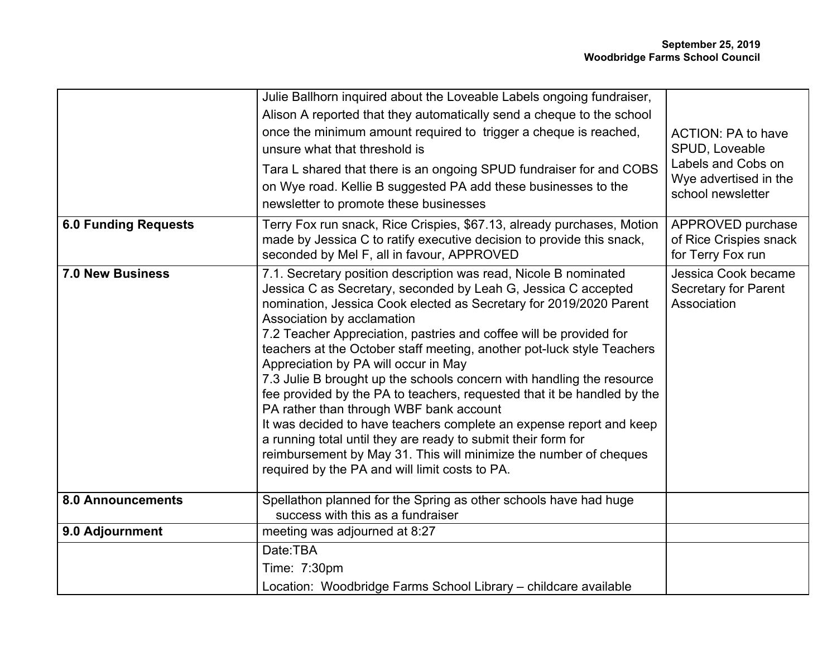|                             | Julie Ballhorn inquired about the Loveable Labels ongoing fundraiser,<br>Alison A reported that they automatically send a cheque to the school<br>once the minimum amount required to trigger a cheque is reached,<br>unsure what that threshold is<br>Tara L shared that there is an ongoing SPUD fundraiser for and COBS<br>on Wye road. Kellie B suggested PA add these businesses to the<br>newsletter to promote these businesses                                                                                                                                                                                                                                                                                                                                                                                                                                                       | ACTION: PA to have<br>SPUD, Loveable<br>Labels and Cobs on<br>Wye advertised in the<br>school newsletter |
|-----------------------------|----------------------------------------------------------------------------------------------------------------------------------------------------------------------------------------------------------------------------------------------------------------------------------------------------------------------------------------------------------------------------------------------------------------------------------------------------------------------------------------------------------------------------------------------------------------------------------------------------------------------------------------------------------------------------------------------------------------------------------------------------------------------------------------------------------------------------------------------------------------------------------------------|----------------------------------------------------------------------------------------------------------|
| <b>6.0 Funding Requests</b> | Terry Fox run snack, Rice Crispies, \$67.13, already purchases, Motion<br>made by Jessica C to ratify executive decision to provide this snack,<br>seconded by Mel F, all in favour, APPROVED                                                                                                                                                                                                                                                                                                                                                                                                                                                                                                                                                                                                                                                                                                | APPROVED purchase<br>of Rice Crispies snack<br>for Terry Fox run                                         |
| <b>7.0 New Business</b>     | 7.1. Secretary position description was read, Nicole B nominated<br>Jessica C as Secretary, seconded by Leah G, Jessica C accepted<br>nomination, Jessica Cook elected as Secretary for 2019/2020 Parent<br>Association by acclamation<br>7.2 Teacher Appreciation, pastries and coffee will be provided for<br>teachers at the October staff meeting, another pot-luck style Teachers<br>Appreciation by PA will occur in May<br>7.3 Julie B brought up the schools concern with handling the resource<br>fee provided by the PA to teachers, requested that it be handled by the<br>PA rather than through WBF bank account<br>It was decided to have teachers complete an expense report and keep<br>a running total until they are ready to submit their form for<br>reimbursement by May 31. This will minimize the number of cheques<br>required by the PA and will limit costs to PA. | Jessica Cook became<br>Secretary for Parent<br>Association                                               |
| 8.0 Announcements           | Spellathon planned for the Spring as other schools have had huge<br>success with this as a fundraiser                                                                                                                                                                                                                                                                                                                                                                                                                                                                                                                                                                                                                                                                                                                                                                                        |                                                                                                          |
| 9.0 Adjournment             | meeting was adjourned at 8:27                                                                                                                                                                                                                                                                                                                                                                                                                                                                                                                                                                                                                                                                                                                                                                                                                                                                |                                                                                                          |
|                             | Date:TBA                                                                                                                                                                                                                                                                                                                                                                                                                                                                                                                                                                                                                                                                                                                                                                                                                                                                                     |                                                                                                          |
|                             | Time: 7:30pm                                                                                                                                                                                                                                                                                                                                                                                                                                                                                                                                                                                                                                                                                                                                                                                                                                                                                 |                                                                                                          |
|                             | Location: Woodbridge Farms School Library - childcare available                                                                                                                                                                                                                                                                                                                                                                                                                                                                                                                                                                                                                                                                                                                                                                                                                              |                                                                                                          |